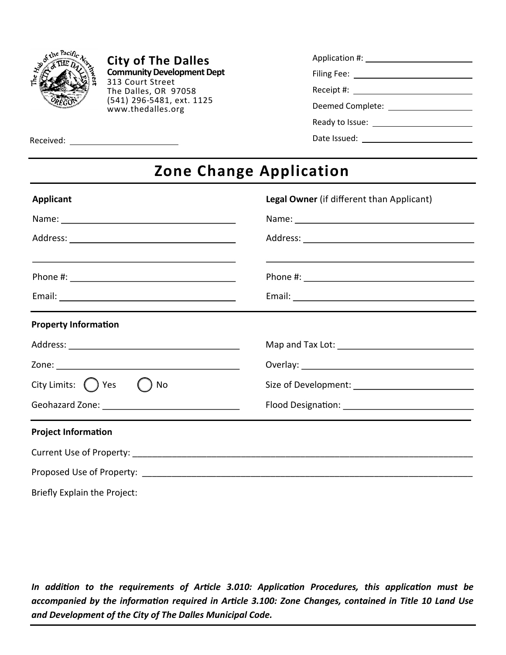

**City of The Dalles Community Development Dept**  313 Court Street The Dalles, OR 97058 (541) 296-5481, ext. 1125 www.thedalles.org

Received:

| Application #:        |  |
|-----------------------|--|
| Filing Fee: _________ |  |
| Receipt #:            |  |
| Deemed Complete:      |  |
| Ready to Issue:       |  |
| Date Issued:          |  |

## **Zone Change Application**

| <b>Applicant</b>                                  | Legal Owner (if different than Applicant)                                                                                                                                                                                      |  |  |
|---------------------------------------------------|--------------------------------------------------------------------------------------------------------------------------------------------------------------------------------------------------------------------------------|--|--|
|                                                   | Name: Name and the second state of the second state of the second state of the second state of the second state of the second state of the second state of the second state of the second state of the second state of the sec |  |  |
|                                                   |                                                                                                                                                                                                                                |  |  |
| <u> 1980 - Jan James James Sandarík (f. 1980)</u> |                                                                                                                                                                                                                                |  |  |
|                                                   |                                                                                                                                                                                                                                |  |  |
| <b>Property Information</b>                       |                                                                                                                                                                                                                                |  |  |
|                                                   |                                                                                                                                                                                                                                |  |  |
|                                                   |                                                                                                                                                                                                                                |  |  |
| City Limits: $\bigcap$ Yes $\bigcap$<br>No        |                                                                                                                                                                                                                                |  |  |
|                                                   |                                                                                                                                                                                                                                |  |  |
| <b>Project Information</b>                        |                                                                                                                                                                                                                                |  |  |
|                                                   |                                                                                                                                                                                                                                |  |  |
|                                                   |                                                                                                                                                                                                                                |  |  |
| Briefly Explain the Project:                      |                                                                                                                                                                                                                                |  |  |

*In addition to the requirements of Article 3.010: Application Procedures, this application must be accompanied by the information required in Article 3.100: Zone Changes, contained in Title 10 Land Use and Development of the City of The Dalles Municipal Code.*